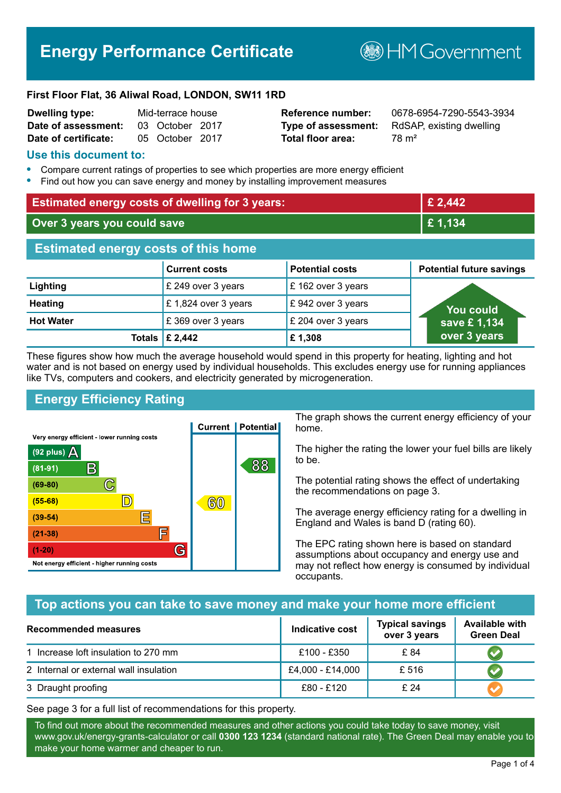# **Energy Performance Certificate**

**B**HM Government

#### **First Floor Flat, 36 Aliwal Road, LONDON, SW11 1RD**

| <b>Dwelling type:</b> | Mid-terrace house |                 |  |
|-----------------------|-------------------|-----------------|--|
| Date of assessment:   |                   | 03 October 2017 |  |
| Date of certificate:  |                   | 05 October 2017 |  |

# **Total floor area:** 78 m<sup>2</sup>

**Reference number:** 0678-6954-7290-5543-3934 **Type of assessment:** RdSAP, existing dwelling

#### **Use this document to:**

- **•** Compare current ratings of properties to see which properties are more energy efficient
- **•** Find out how you can save energy and money by installing improvement measures

| <b>Estimated energy costs of dwelling for 3 years:</b> |                           |                        | £ 2,442                         |
|--------------------------------------------------------|---------------------------|------------------------|---------------------------------|
| Over 3 years you could save                            |                           | £1,134                 |                                 |
| <b>Estimated energy costs of this home</b>             |                           |                        |                                 |
|                                                        | <b>Current costs</b>      | <b>Potential costs</b> | <b>Potential future savings</b> |
| Lighting                                               | £ 249 over 3 years        | £ 162 over 3 years     |                                 |
| <b>Heating</b>                                         | £1,824 over 3 years       | £942 over 3 years      | <b>You could</b>                |
| <b>Hot Water</b>                                       | £369 over 3 years         | £ 204 over 3 years     | save £1,134                     |
|                                                        | Totals $\mathsf{E}$ 2,442 | £1,308                 | over 3 years                    |

These figures show how much the average household would spend in this property for heating, lighting and hot water and is not based on energy used by individual households. This excludes energy use for running appliances like TVs, computers and cookers, and electricity generated by microgeneration.

# **Energy Efficiency Rating**



The graph shows the current energy efficiency of your home.

The higher the rating the lower your fuel bills are likely to be.

The potential rating shows the effect of undertaking the recommendations on page 3.

The average energy efficiency rating for a dwelling in England and Wales is band D (rating 60).

The EPC rating shown here is based on standard assumptions about occupancy and energy use and may not reflect how energy is consumed by individual occupants.

# **Top actions you can take to save money and make your home more efficient**

| <b>Recommended measures</b>            | Indicative cost  | <b>Typical savings</b><br>over 3 years | <b>Available with</b><br><b>Green Deal</b> |
|----------------------------------------|------------------|----------------------------------------|--------------------------------------------|
| 1 Increase loft insulation to 270 mm   | £100 - £350      | £ 84                                   |                                            |
| 2 Internal or external wall insulation | £4,000 - £14,000 | £ 516                                  |                                            |
| 3 Draught proofing                     | £80 - £120       | £24                                    |                                            |

See page 3 for a full list of recommendations for this property.

To find out more about the recommended measures and other actions you could take today to save money, visit www.gov.uk/energy-grants-calculator or call **0300 123 1234** (standard national rate). The Green Deal may enable you to make your home warmer and cheaper to run.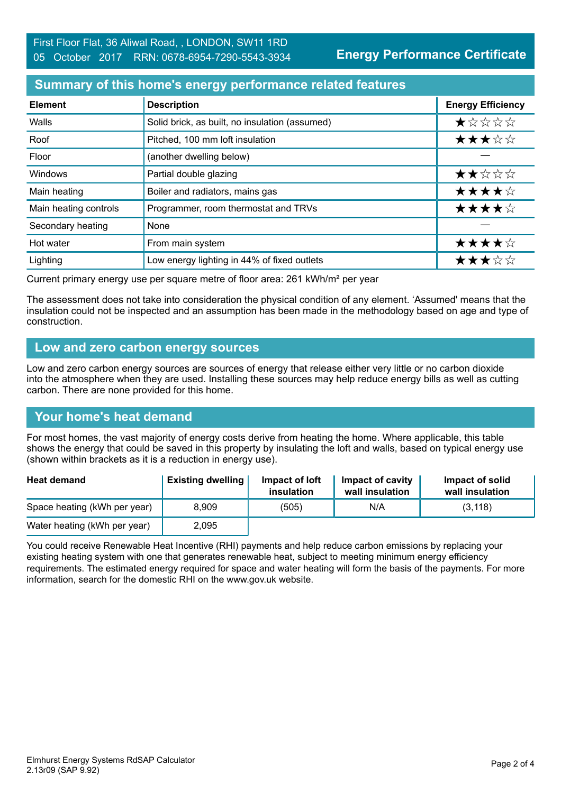**Energy Performance Certificate**

#### **Summary of this home's energy performance related features**

| <b>Element</b>        | <b>Description</b>                             | <b>Energy Efficiency</b> |
|-----------------------|------------------------------------------------|--------------------------|
| Walls                 | Solid brick, as built, no insulation (assumed) | *****                    |
| Roof                  | Pitched, 100 mm loft insulation                | ★★★☆☆                    |
| Floor                 | (another dwelling below)                       |                          |
| Windows               | Partial double glazing                         | ★★☆☆☆                    |
| Main heating          | Boiler and radiators, mains gas                | ★★★★☆                    |
| Main heating controls | Programmer, room thermostat and TRVs           | ★★★★☆                    |
| Secondary heating     | None                                           |                          |
| Hot water             | From main system                               | ★★★★☆                    |
| Lighting              | Low energy lighting in 44% of fixed outlets    | ★★★☆☆                    |

Current primary energy use per square metre of floor area: 261 kWh/m² per year

The assessment does not take into consideration the physical condition of any element. 'Assumed' means that the insulation could not be inspected and an assumption has been made in the methodology based on age and type of construction.

#### **Low and zero carbon energy sources**

Low and zero carbon energy sources are sources of energy that release either very little or no carbon dioxide into the atmosphere when they are used. Installing these sources may help reduce energy bills as well as cutting carbon. There are none provided for this home.

# **Your home's heat demand**

For most homes, the vast majority of energy costs derive from heating the home. Where applicable, this table shows the energy that could be saved in this property by insulating the loft and walls, based on typical energy use (shown within brackets as it is a reduction in energy use).

| <b>Heat demand</b>           | <b>Existing dwelling</b> | Impact of loft<br>insulation | Impact of cavity<br>wall insulation | Impact of solid<br>wall insulation |
|------------------------------|--------------------------|------------------------------|-------------------------------------|------------------------------------|
| Space heating (kWh per year) | 8.909                    | (505)                        | N/A                                 | (3, 118)                           |
| Water heating (kWh per year) | 2,095                    |                              |                                     |                                    |

You could receive Renewable Heat Incentive (RHI) payments and help reduce carbon emissions by replacing your existing heating system with one that generates renewable heat, subject to meeting minimum energy efficiency requirements. The estimated energy required for space and water heating will form the basis of the payments. For more information, search for the domestic RHI on the www.gov.uk website.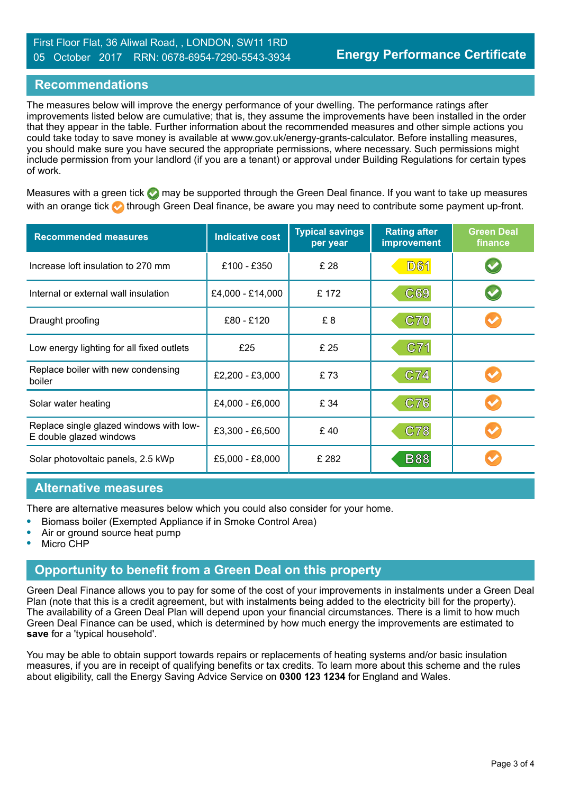#### **Recommendations**

The measures below will improve the energy performance of your dwelling. The performance ratings after improvements listed below are cumulative; that is, they assume the improvements have been installed in the order that they appear in the table. Further information about the recommended measures and other simple actions you could take today to save money is available at www.gov.uk/energy-grants-calculator. Before installing measures, you should make sure you have secured the appropriate permissions, where necessary. Such permissions might include permission from your landlord (if you are a tenant) or approval under Building Regulations for certain types of work.

Measures with a green tick  $\bullet$  may be supported through the Green Deal finance. If you want to take up measures with an orange tick **th** through Green Deal finance, be aware you may need to contribute some payment up-front.

| <b>Recommended measures</b>                                        | <b>Indicative cost</b> | <b>Typical savings</b><br>per year | <b>Rating after</b><br>improvement | <b>Green Deal</b><br>finance |
|--------------------------------------------------------------------|------------------------|------------------------------------|------------------------------------|------------------------------|
| Increase loft insulation to 270 mm                                 | £100 - £350            | £ 28                               | <b>D61</b>                         | $\blacktriangledown$         |
| Internal or external wall insulation                               | £4,000 - £14,000       | £ 172                              | C69                                |                              |
| Draught proofing                                                   | £80 - £120             | £8                                 | <b>C70</b>                         |                              |
| Low energy lighting for all fixed outlets                          | £25                    | £ 25                               | C71                                |                              |
| Replace boiler with new condensing<br>boiler                       | £2,200 - £3,000        | £73                                | C74                                |                              |
| Solar water heating                                                | £4,000 - £6,000        | £ 34                               | C76                                |                              |
| Replace single glazed windows with low-<br>E double glazed windows | £3,300 - £6,500        | £40                                | C78                                |                              |
| Solar photovoltaic panels, 2.5 kWp                                 | £5,000 - £8,000        | £ 282                              | <b>B88</b>                         |                              |

#### **Alternative measures**

There are alternative measures below which you could also consider for your home.

- **•** Biomass boiler (Exempted Appliance if in Smoke Control Area)
- **•** Air or ground source heat pump
- **•** Micro CHP

#### **Opportunity to benefit from a Green Deal on this property**

Green Deal Finance allows you to pay for some of the cost of your improvements in instalments under a Green Deal Plan (note that this is a credit agreement, but with instalments being added to the electricity bill for the property). The availability of a Green Deal Plan will depend upon your financial circumstances. There is a limit to how much Green Deal Finance can be used, which is determined by how much energy the improvements are estimated to **save** for a 'typical household'.

You may be able to obtain support towards repairs or replacements of heating systems and/or basic insulation measures, if you are in receipt of qualifying benefits or tax credits. To learn more about this scheme and the rules about eligibility, call the Energy Saving Advice Service on **0300 123 1234** for England and Wales.